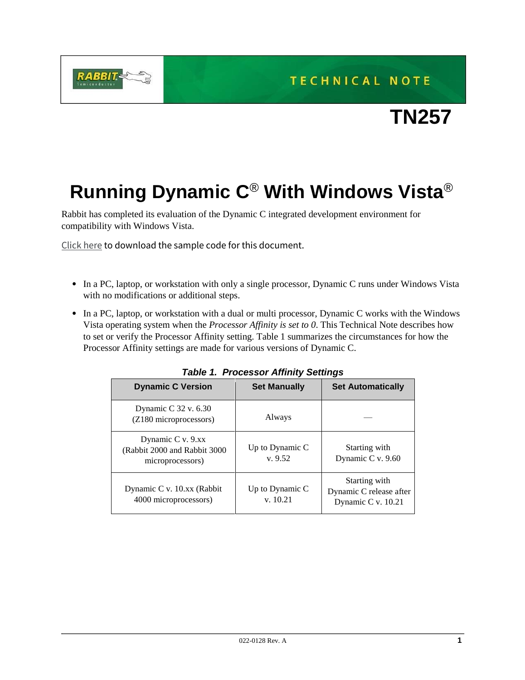**TECHNICAL NOTE** 



## **Running Dynamic C**® **With Windows Vista**®

Rabbit has completed its evaluation of the Dynamic C integrated development environment for compatibility with Windows Vista.

[Click here](https://ftp1.digi.com/support/sampleapplications/022-0128_a.zip) to download the sample code for this document.

**RABBIT** 

- **•** In a PC, laptop, or workstation with only a single processor, Dynamic C runs under Windows Vista with no modifications or additional steps.
- **•** In a PC, laptop, or workstation with a dual or multi processor, Dynamic C works with the Windows Vista operating system when the *Processor Affinity is set to 0*. This Technical Note describes how to set or verify the Processor Affinity setting. Table 1 summarizes the circumstances for how the Processor Affinity settings are made for various versions of Dynamic C.

| Table T. Processor Allinity Settings                                   |                             |                                                                |  |  |  |
|------------------------------------------------------------------------|-----------------------------|----------------------------------------------------------------|--|--|--|
| <b>Dynamic C Version</b>                                               | <b>Set Manually</b>         | <b>Set Automatically</b>                                       |  |  |  |
| Dynamic C 32 v. 6.30<br>(Z180 microprocessors)                         | Always                      |                                                                |  |  |  |
| Dynamic C v. 9.xx<br>(Rabbit 2000 and Rabbit 3000)<br>microprocessors) | Up to Dynamic C<br>v.9.52   | Starting with<br>Dynamic C v. 9.60                             |  |  |  |
| Dynamic C v. 10.xx (Rabbit)<br>4000 microprocessors)                   | Up to Dynamic C<br>v. 10.21 | Starting with<br>Dynamic C release after<br>Dynamic C v. 10.21 |  |  |  |

*Table 1. Processor Affinity Settings*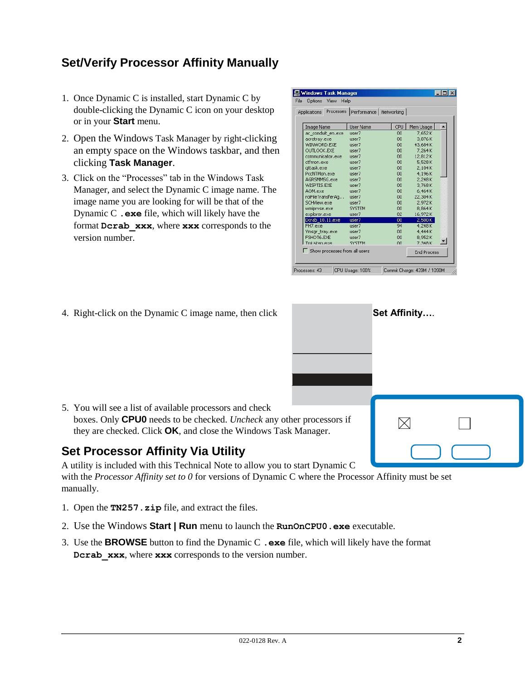## **Set/Verify Processor Affinity Manually**

- 1. Once Dynamic C is installed, start Dynamic C by double-clicking the Dynamic C icon on your desktop or in your **Start** menu.
- 2. Open the Windows Task Manager by right-clicking an empty space on the Windows taskbar, and then clicking **Task Manager**.
- 3. Click on the "Processes" tab in the Windows Task Manager, and select the Dynamic C image name. The image name you are looking for will be that of the Dynamic C **.exe** file, which will likely have the format **Dcrab\_xxx**, where **xxx** corresponds to the version number.

| Applications                  | Processes   Performance   Networking |     |                    |  |
|-------------------------------|--------------------------------------|-----|--------------------|--|
| <b>Image Name</b>             | <b>User Name</b>                     | CPU | Mem Usage          |  |
| ac conduit en.exe             | user7                                | 00  | 7,652K             |  |
| acrotray.exe                  | user7                                | 00  | 3,876K             |  |
| WINWORD.EXE                   | user7                                | 00  | 43,684K            |  |
| <b>OLITLOOK.EXE</b>           | user7                                | 00  | 7,264K             |  |
| communicator.exe              | Liser7                               | 00  | 12.812K            |  |
| ctfmon.exe                    | user7                                | 00  | 5,528K             |  |
| attask.exe                    | user7                                | 00  | 2.104K             |  |
| PccNTMon.exe                  | user7                                | 00  | 4,196K             |  |
| AGRSMMSG.exe                  | user7                                | 00  | 2,248K             |  |
| WISPTIS.EXE                   | user7                                | 00  | 3,768K             |  |
| AOM.exe                       | user7                                | 00  | 6,464K             |  |
| roiFileTransferAg             | user7                                | 00  | 22,304K            |  |
| SCHView.exe                   | user7                                | 00  | 2,972K             |  |
| wmipryse.exe                  | <b>SYSTEM</b>                        | 00  | 8,864K             |  |
| explorer.exe                  | user7                                | 02  | 16,972K            |  |
| Dcrab 10.11.exe               | user7                                | 00  | 2,500K             |  |
| FH7.exe                       | user7                                | 94  | 4,248K             |  |
| Ymsgr tray.exe                | user7                                | 00  | 4.444K             |  |
| FSHOT6.EXE                    | user7                                | 00  | 8,952K             |  |
| Tml isten.exe                 | <b>SYSTEM</b>                        | nn. | 7.348K             |  |
| Show processes from all users |                                      |     | <b>End Process</b> |  |

 $\boxtimes$ 

4. Right-click on the Dynamic C image name, then click **Set Affinity**....

5. You will see a list of available processors and check boxes. Only **CPU0** needs to be checked. *Uncheck* any other processors if they are checked. Click **OK**, and close the Windows Task Manager.

## **Set Processor Affinity Via Utility**

A utility is included with this Technical Note to allow you to start Dynamic C with the *Processor Affinity set to 0* for versions of Dynamic C where the Processor Affinity must be set manually.

- 1. Open the **TN257.zip** file, and extract the files.
- 2. Use the Windows **Start | Run** menu to launch the **RunOnCPU0.exe** executable.
- 3. Use the **BROWSE** button to find the Dynamic C **.exe** file, which will likely have the format **Dcrab** xxx, where xxx corresponds to the version number.